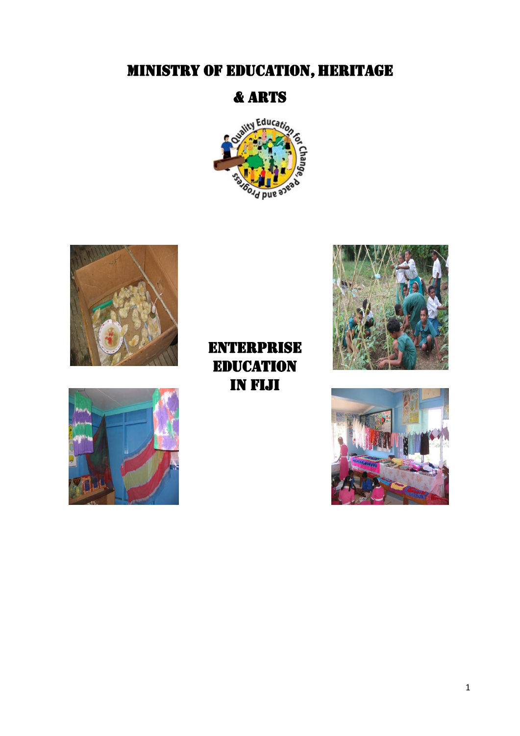# **MINISTRY OF EDUCATION, HERITAGE**

## & ARTS







**ENTERPRISE EDUCATION** in Fiji



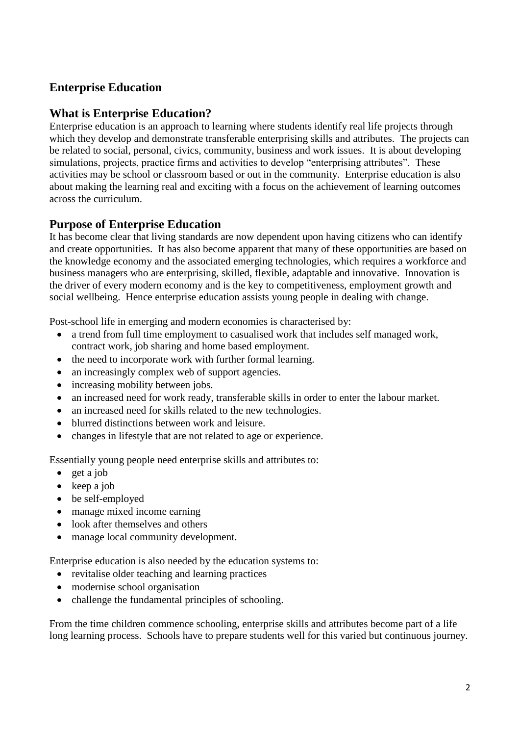## **Enterprise Education**

## **What is Enterprise Education?**

Enterprise education is an approach to learning where students identify real life projects through which they develop and demonstrate transferable enterprising skills and attributes. The projects can be related to social, personal, civics, community, business and work issues. It is about developing simulations, projects, practice firms and activities to develop "enterprising attributes". These activities may be school or classroom based or out in the community. Enterprise education is also about making the learning real and exciting with a focus on the achievement of learning outcomes across the curriculum.

## **Purpose of Enterprise Education**

It has become clear that living standards are now dependent upon having citizens who can identify and create opportunities. It has also become apparent that many of these opportunities are based on the knowledge economy and the associated emerging technologies, which requires a workforce and business managers who are enterprising, skilled, flexible, adaptable and innovative. Innovation is the driver of every modern economy and is the key to competitiveness, employment growth and social wellbeing. Hence enterprise education assists young people in dealing with change.

Post-school life in emerging and modern economies is characterised by:

- a trend from full time employment to casualised work that includes self managed work, contract work, job sharing and home based employment.
- the need to incorporate work with further formal learning.
- an increasingly complex web of support agencies.
- increasing mobility between jobs.
- an increased need for work ready, transferable skills in order to enter the labour market.
- an increased need for skills related to the new technologies.
- blurred distinctions between work and leisure.
- changes in lifestyle that are not related to age or experience.

Essentially young people need enterprise skills and attributes to:

- $\bullet$  get a job
- $\bullet$  keep a job
- be self-employed
- manage mixed income earning
- look after themselves and others
- manage local community development.

Enterprise education is also needed by the education systems to:

- revitalise older teaching and learning practices
- modernise school organisation
- challenge the fundamental principles of schooling.

From the time children commence schooling, enterprise skills and attributes become part of a life long learning process. Schools have to prepare students well for this varied but continuous journey.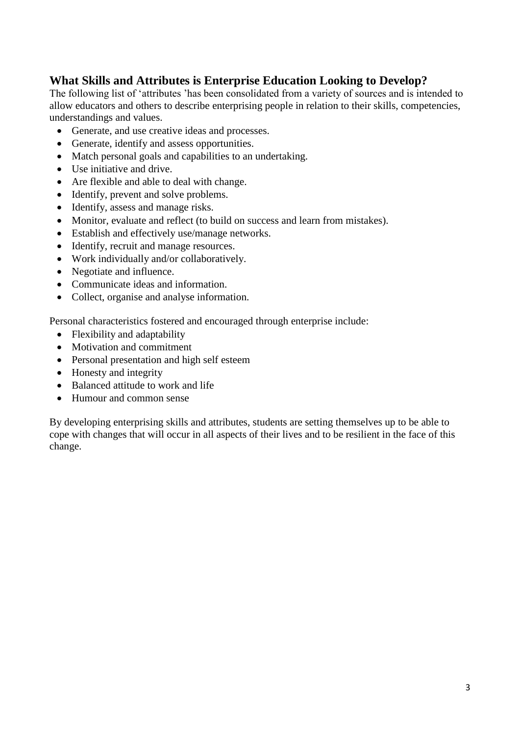## **What Skills and Attributes is Enterprise Education Looking to Develop?**

The following list of 'attributes 'has been consolidated from a variety of sources and is intended to allow educators and others to describe enterprising people in relation to their skills, competencies, understandings and values.

- Generate, and use creative ideas and processes.
- Generate, identify and assess opportunities.
- Match personal goals and capabilities to an undertaking.
- Use initiative and drive.
- Are flexible and able to deal with change.
- Identify, prevent and solve problems.
- Identify, assess and manage risks.
- Monitor, evaluate and reflect (to build on success and learn from mistakes).
- Establish and effectively use/manage networks.
- Identify, recruit and manage resources.
- Work individually and/or collaboratively.
- Negotiate and influence.
- Communicate ideas and information.
- Collect, organise and analyse information.

Personal characteristics fostered and encouraged through enterprise include:

- Flexibility and adaptability
- Motivation and commitment
- Personal presentation and high self esteem
- Honesty and integrity
- Balanced attitude to work and life
- Humour and common sense

By developing enterprising skills and attributes, students are setting themselves up to be able to cope with changes that will occur in all aspects of their lives and to be resilient in the face of this change.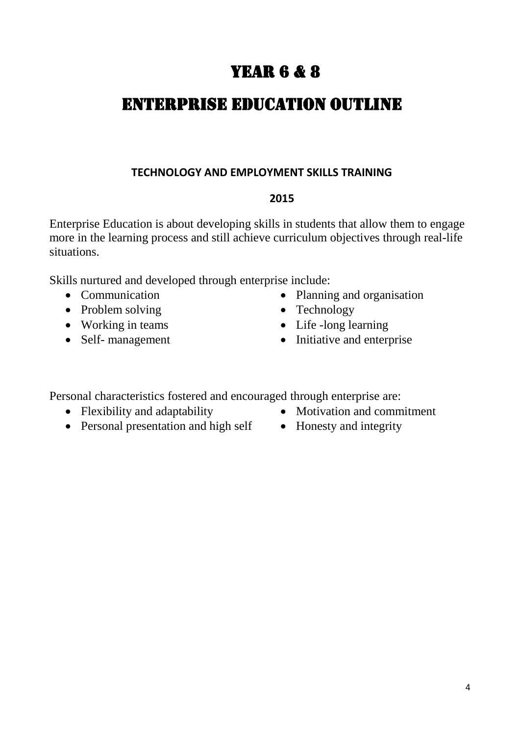## YEAR **6 & 8**

## ENTERPRISE EDUCATION Outline

## **TECHNOLOGY AND EMPLOYMENT SKILLS TRAINING**

## **2015**

Enterprise Education is about developing skills in students that allow them to engage more in the learning process and still achieve curriculum objectives through real-life situations.

Skills nurtured and developed through enterprise include:

- 
- Problem solving Technology
- 
- 
- Communication Planning and organisation
	-
- Working in teams Life -long learning
- Self- management Initiative and enterprise

Personal characteristics fostered and encouraged through enterprise are:

- 
- Personal presentation and high self Honesty and integrity
- Flexibility and adaptability Motivation and commitment
	-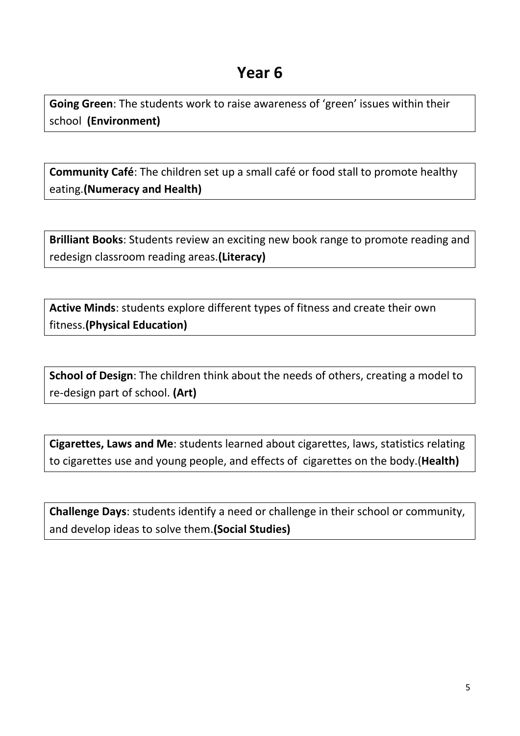**Going Green**: The students work to raise awareness of 'green' issues within their school **(Environment)**

**Community Café**: The children set up a small café or food stall to promote healthy eating.**(Numeracy and Health)**

**Brilliant Books**: Students review an exciting new book range to promote reading and redesign classroom reading areas.**(Literacy)**

**Active Minds**: students explore different types of fitness and create their own fitness.**(Physical Education)**

**School of Design**: The children think about the needs of others, creating a model to re-design part of school. **(Art)**

**Cigarettes, Laws and Me**: students learned about cigarettes, laws, statistics relating to cigarettes use and young people, and effects of cigarettes on the body.(**Health)**

**Challenge Days**: students identify a need or challenge in their school or community, and develop ideas to solve them.**(Social Studies)**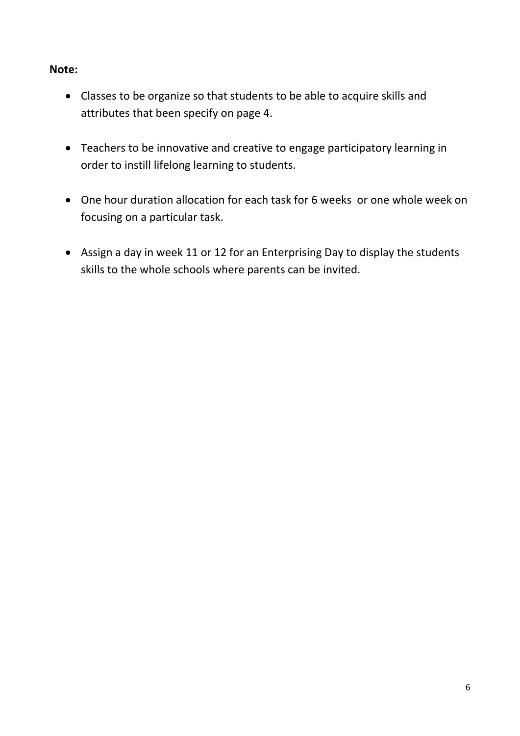## **Note:**

- Classes to be organize so that students to be able to acquire skills and attributes that been specify on page 4.
- Teachers to be innovative and creative to engage participatory learning in order to instill lifelong learning to students.
- One hour duration allocation for each task for 6 weeks or one whole week on focusing on a particular task.
- Assign a day in week 11 or 12 for an Enterprising Day to display the students skills to the whole schools where parents can be invited.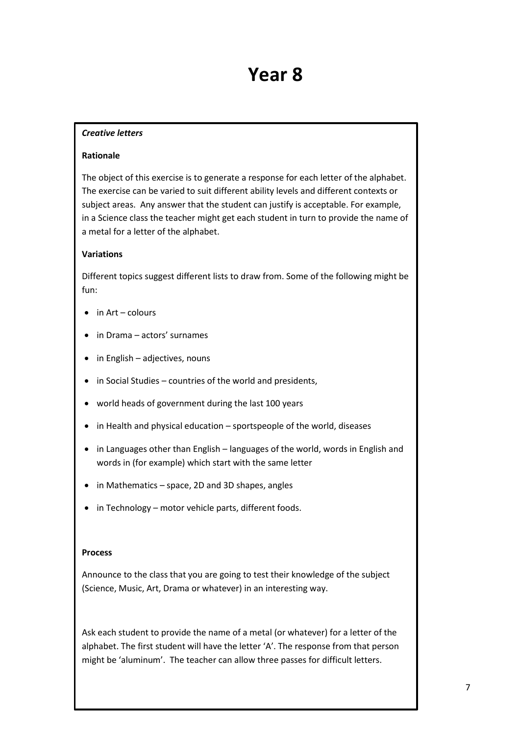#### *Creative letters*

#### **Rationale**

The object of this exercise is to generate a response for each letter of the alphabet. The exercise can be varied to suit different ability levels and different contexts or subject areas. Any answer that the student can justify is acceptable. For example, in a Science class the teacher might get each student in turn to provide the name of a metal for a letter of the alphabet.

#### **Variations**

Different topics suggest different lists to draw from. Some of the following might be fun:

- $\bullet$  in Art colours
- in Drama actors' surnames
- in English adjectives, nouns
- $\bullet$  in Social Studies countries of the world and presidents,
- world heads of government during the last 100 years
- in Health and physical education sportspeople of the world, diseases
- in Languages other than English languages of the world, words in English and words in (for example) which start with the same letter
- in Mathematics space, 2D and 3D shapes, angles
- in Technology motor vehicle parts, different foods.

#### **Process**

Announce to the class that you are going to test their knowledge of the subject (Science, Music, Art, Drama or whatever) in an interesting way.

Ask each student to provide the name of a metal (or whatever) for a letter of the alphabet. The first student will have the letter 'A'. The response from that person might be 'aluminum'. The teacher can allow three passes for difficult letters.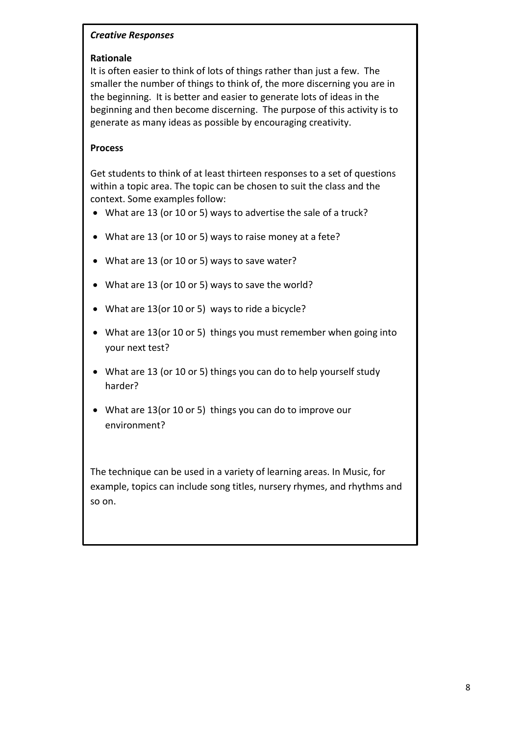#### *Creative Responses*

#### **Rationale**

It is often easier to think of lots of things rather than just a few. The smaller the number of things to think of, the more discerning you are in the beginning. It is better and easier to generate lots of ideas in the beginning and then become discerning. The purpose of this activity is to generate as many ideas as possible by encouraging creativity.

#### **Process**

Get students to think of at least thirteen responses to a set of questions within a topic area. The topic can be chosen to suit the class and the context. Some examples follow:

- What are 13 (or 10 or 5) ways to advertise the sale of a truck?
- What are 13 (or 10 or 5) ways to raise money at a fete?
- What are 13 (or 10 or 5) ways to save water?
- What are 13 (or 10 or 5) ways to save the world?
- What are 13(or 10 or 5) ways to ride a bicycle?
- What are 13(or 10 or 5) things you must remember when going into your next test?
- What are 13 (or 10 or 5) things you can do to help yourself study harder?
- What are 13(or 10 or 5) things you can do to improve our environment?

The technique can be used in a variety of learning areas. In Music, for example, topics can include song titles, nursery rhymes, and rhythms and so on.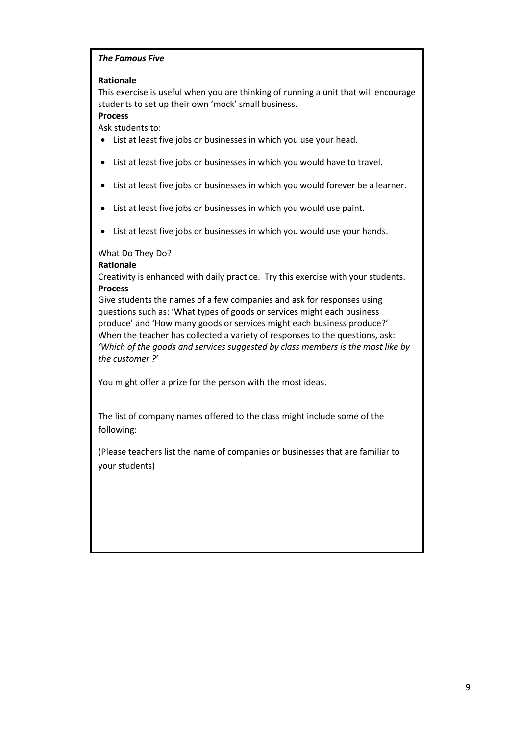#### *The Famous Five*

#### **Rationale**

This exercise is useful when you are thinking of running a unit that will encourage students to set up their own 'mock' small business.

#### **Process**

Ask students to:

- List at least five jobs or businesses in which you use your head.
- List at least five jobs or businesses in which you would have to travel.
- List at least five jobs or businesses in which you would forever be a learner.
- List at least five jobs or businesses in which you would use paint.
- List at least five jobs or businesses in which you would use your hands.

#### What Do They Do?

#### **Rationale**

Creativity is enhanced with daily practice. Try this exercise with your students. **Process**

Give students the names of a few companies and ask for responses using questions such as: 'What types of goods or services might each business produce' and 'How many goods or services might each business produce?' When the teacher has collected a variety of responses to the questions, ask: *'Which of the goods and services suggested by class members is the most like by the customer ?*'

You might offer a prize for the person with the most ideas.

The list of company names offered to the class might include some of the following:

(Please teachers list the name of companies or businesses that are familiar to your students)